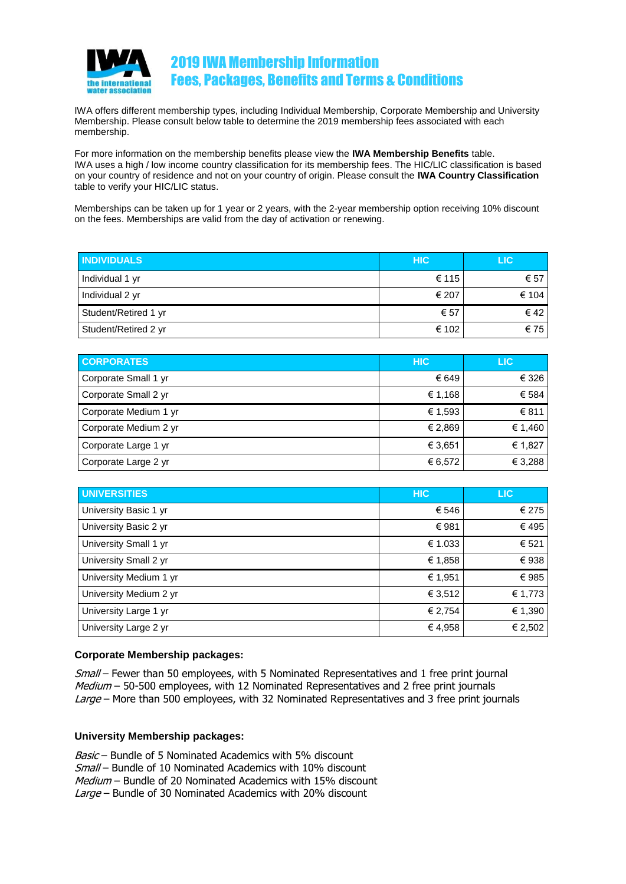

### 2019 IWA Membership Information Fees, Packages, Benefits and Terms & Conditions

IWA offers different membership types, including Individual Membership, Corporate Membership and University Membership. Please consult below table to determine the 2019 membership fees associated with each membership.

For more information on the membership benefits please view the **IWA Membership Benefits** table. IWA uses a high / low income country classification for its membership fees. The HIC/LIC classification is based on your country of residence and not on your country of origin. Please consult the **IWA Country Classification** table to verify your HIC/LIC status.

Memberships can be taken up for 1 year or 2 years, with the 2-year membership option receiving 10% discount on the fees. Memberships are valid from the day of activation or renewing.

| <b>INDIVIDUALS</b>   | <b>HIC</b> | LIC.          |
|----------------------|------------|---------------|
| Individual 1 yr      | € 115      | € 57          |
| Individual 2 yr      | € 207      | € 104         |
| Student/Retired 1 yr | € 57       | $\epsilon$ 42 |
| Student/Retired 2 yr | € 102      | €75           |

| <b>CORPORATES</b>     | <b>HIC</b> | LIC     |
|-----------------------|------------|---------|
| Corporate Small 1 yr  | € 649      | € 326   |
| Corporate Small 2 yr  | € 1,168    | € 584   |
| Corporate Medium 1 yr | € 1,593    | € 811   |
| Corporate Medium 2 yr | € 2,869    | € 1,460 |
| Corporate Large 1 yr  | € 3.651    | € 1,827 |
| Corporate Large 2 yr  | € 6,572    | € 3,288 |

| <b>UNIVERSITIES</b>    | <b>HIC</b> | <b>LIC</b> |
|------------------------|------------|------------|
| University Basic 1 yr  | € 546      | € 275      |
| University Basic 2 yr  | €981       | €495       |
| University Small 1 yr  | € 1.033    | € 521      |
| University Small 2 yr  | € 1,858    | €938       |
| University Medium 1 yr | € 1,951    | €985       |
| University Medium 2 yr | € 3,512    | € 1,773    |
| University Large 1 yr  | € 2,754    | € 1,390    |
| University Large 2 yr  | €4,958     | € 2,502    |

### **Corporate Membership packages:**

Small – Fewer than 50 employees, with 5 Nominated Representatives and 1 free print journal  $Median - 50-500$  employees, with 12 Nominated Representatives and 2 free print journals Large – More than 500 employees, with 32 Nominated Representatives and 3 free print journals

#### **University Membership packages:**

Basic – Bundle of 5 Nominated Academics with 5% discount Small – Bundle of 10 Nominated Academics with 10% discount Medium – Bundle of 20 Nominated Academics with 15% discount Large – Bundle of 30 Nominated Academics with 20% discount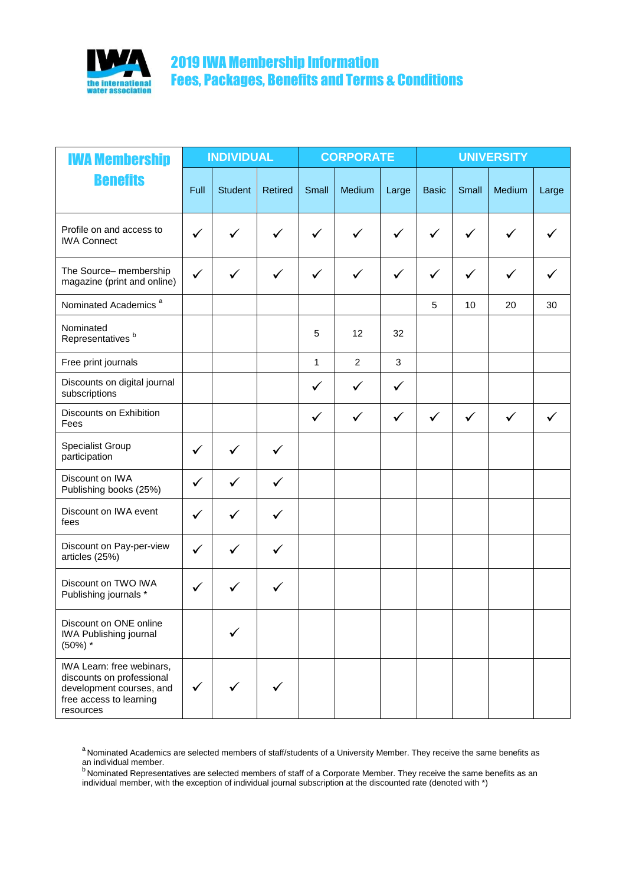

# 2019 IWA Membership Information Fees, Packages, Benefits and Terms & Conditions

| <b>IWA Membership</b>                                                                                                      | <b>INDIVIDUAL</b> |                | <b>CORPORATE</b> |              |                | <b>UNIVERSITY</b> |              |              |              |       |
|----------------------------------------------------------------------------------------------------------------------------|-------------------|----------------|------------------|--------------|----------------|-------------------|--------------|--------------|--------------|-------|
| <b>Benefits</b>                                                                                                            | Full              | <b>Student</b> | <b>Retired</b>   | Small        | Medium         | Large             | <b>Basic</b> | Small        | Medium       | Large |
| Profile on and access to<br><b>IWA Connect</b>                                                                             | ✓                 |                |                  |              |                | ✓                 |              |              |              |       |
| The Source- membership<br>magazine (print and online)                                                                      | ✓                 |                |                  | ✓            |                | ✓                 | $\checkmark$ | ✓            |              |       |
| Nominated Academics <sup>a</sup>                                                                                           |                   |                |                  |              |                |                   | 5            | 10           | 20           | 30    |
| Nominated<br>Representatives <sup>b</sup>                                                                                  |                   |                |                  | 5            | 12             | 32                |              |              |              |       |
| Free print journals                                                                                                        |                   |                |                  | 1            | $\overline{c}$ | 3                 |              |              |              |       |
| Discounts on digital journal<br>subscriptions                                                                              |                   |                |                  | $\checkmark$ | $\checkmark$   | $\checkmark$      |              |              |              |       |
| Discounts on Exhibition<br>Fees                                                                                            |                   |                |                  | ✓            | ✓              | $\checkmark$      | $\checkmark$ | $\checkmark$ | $\checkmark$ |       |
| Specialist Group<br>participation                                                                                          | ✓                 |                | $\checkmark$     |              |                |                   |              |              |              |       |
| Discount on IWA<br>Publishing books (25%)                                                                                  | ✓                 |                | ✓                |              |                |                   |              |              |              |       |
| Discount on IWA event<br>fees                                                                                              | ✓                 |                | $\checkmark$     |              |                |                   |              |              |              |       |
| Discount on Pay-per-view<br>articles (25%)                                                                                 | $\checkmark$      |                |                  |              |                |                   |              |              |              |       |
| Discount on TWO IWA<br>Publishing journals *                                                                               | ✓                 |                |                  |              |                |                   |              |              |              |       |
| Discount on ONE online<br>IWA Publishing journal<br>$(50\%)$ *                                                             |                   |                |                  |              |                |                   |              |              |              |       |
| IWA Learn: free webinars,<br>discounts on professional<br>development courses, and<br>free access to learning<br>resources | $\checkmark$      | $\checkmark$   | ✓                |              |                |                   |              |              |              |       |

<sup>a</sup> Nominated Academics are selected members of staff/students of a University Member. They receive the same benefits as an individual member.<br><sup>b</sup> Nominated Representatives are selected members of staff of a Corporate Member. They receive the same benefits as an

individual member, with the exception of individual journal subscription at the discounted rate (denoted with \*)